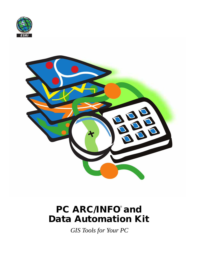



# PC ARC/INFO<sup>®</sup> and **Data Automation Kit**

*GIS Tools for Your PC*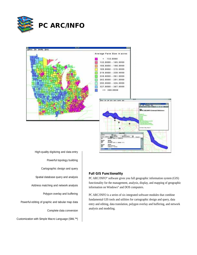



**Full GIS Functionality**

High-quality digitizing and data entry Powerful topology building Cartographic design and query Spatial database query and analysis Address matching and network analysis Polygon overlay and buffering Powerful editing of graphic and tabular map data Complete data conversion Customization with Simple Macro Language (SML™)

PC ARC/INFO® software gives you full geographic information system (GIS) functionality for the management, analysis, display, and mapping of geographic information on Windows® and DOS computers.

PC ARC/INFO is a series of six integrated software modules that combine fundamental GIS tools and utilities for cartographic design and query, data entry and editing, data translation, polygon overlay and buffering, and network analysis and modeling.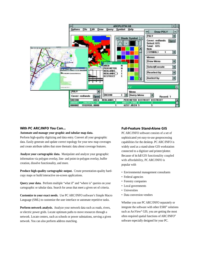

#### **With PC ARC/INFO You Can...**

#### **Automate and manage your graphic and tabular map data.**

Perform high-quality digitizing and data entry. Convert all your geographic data. Easily generate and update correct topology for your new map coverages and create attribute tables that store thematic data about coverage features.

**Analyze your cartographic data.** Manipulate and analyze your geographic information via polygon overlay, line- and point-in-polygon overlay, buffer creation, dissolve functionality, and more.

**Produce high-quality cartographic output.** Create presentation-quality hardcopy maps or build interactive on-screen applications.

**Query your data.** Perform multiple "what if" and "where is" queries on your cartographic or tabular data. Search for areas that meet a given set of criteria.

**Customize to your exact needs.** Use PC ARC/INFO software's Simple Macro Language (SML) to customize the user interface or automate repetitive tasks.

**Perform network analysis.** Analyze your network data such as roads, rivers, or electric power grids. Locate optimum paths to move resources through a network. Locate centers, such as schools or power substations, serving a given network. You can also perform address matching.

#### **Full-Feature Stand-Alone GIS**

PC ARC/INFO software consists of a set of sophisticated yet easy-to-use geoprocessing capabilities for the desktop. PC ARC/INFO is widely used as a stand-alone GIS workstation connected to a digitizer and printer/plotter. Because of its full GIS functionality coupled with affordability, PC ARC/INFO is popular with

- Environmental management consultants
- Federal agencies
- Forestry companies
- Local governments
- Universities
- Data conversion vendors

Whether you use PC ARC/INFO separately or integrate the software with other ESRI® solutions such as ArcView® GIS, you are getting the most often required spatial functions of ARC/INFO® software especially designed for your PC.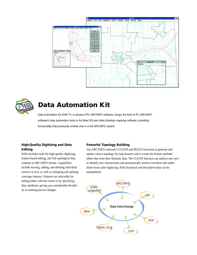



# **Data Automation Kit**

Data Automation Kit (DAK™), a subset of PC ARC/INFO software, brings the best of PC ARC/INFO software's data automation tools to ArcView GIS and other desktop mapping software, providing functionality that previously existed only in a full ARC/INFO system.

## **High-Quality Digitizing and Data Editing**

DAK includes tools for high-quality digitizing, feature-based editing, and full topological data creation in ARC/INFO format. Capabilities include moving, adding, and deleting individual vertices in arcs, as well as reshaping and splining coverage features. Features are selectable for editing either with the cursor or by specifying their attributes, giving you considerable flexibility in making precise changes.

#### **Powerful Topology Building**

Use ARC/INFO software's CLEAN and BUILD functions to generate and update correct topology for map features and to create the feature attribute tables that store their thematic data. The CLEAN function can analyze new arcs to identify new intersections and automatically resolve overshoot and undershoot errors after digitizing. Both locational and descriptive data can be manipulated.

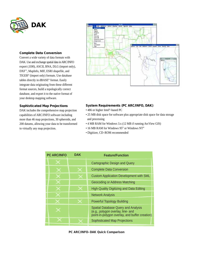

#### **Complete Data Conversion**

Convert a wide variety of data formats with DAK. Use and exchange spatial data in ARC/INFO export (.E00), ASCII, BNA, DLG (import only), DXF™, MapInfo, MIF, ESRI shapefile, and TIGER® (import only) formats. Use database tables directly in dBASE® format. Easily integrate data originating from these different format sources, build a topologically correct database, and export it to the native format of your desktop mapping software.

#### **Sophisticated Map Projections**

DAK includes the comprehensive map projection capabilities of ARC/INFO software including more than 46 map projections, 30 spheroids, and 200 datums, allowing your data to be transformed to virtually any map projection.



#### **System Requirements (PC ARC/INFO, DAK)**

- 486 or higher Intel®-based PC
- 25 MB disk space for software plus appropriate disk space for data storage and processing
- 4 MB RAM for Windows 3.x (12 MB if running ArcView GIS)
- 16 MB RAM for Windows 95® or Windows NT®
- Digitizer, CD–ROM recommended

| <b>PC ARC/INFO</b> | <b>DAK</b> | <b>Feature/Function</b>                                                                                                           |
|--------------------|------------|-----------------------------------------------------------------------------------------------------------------------------------|
|                    |            | Cartographic Design and Query                                                                                                     |
|                    |            | <b>Complete Data Conversion</b>                                                                                                   |
|                    |            | <b>Custom Application Development with SML</b>                                                                                    |
|                    |            | Geocoding or Address Matching                                                                                                     |
|                    |            | <b>High-Quality Digitizing and Data Editing</b>                                                                                   |
|                    |            | <b>Network Analysis</b>                                                                                                           |
|                    |            | <b>Powerful Topology Building</b>                                                                                                 |
|                    |            | <b>Spatial Database Query and Analysis</b><br>(e.g., polygon overlay, line- and<br>point-in-polygon overlay, and buffer creation) |
|                    |            | <b>Sophisticated Map Projections</b>                                                                                              |

#### **PC ARC/INFO–DAK Quick Comparison**